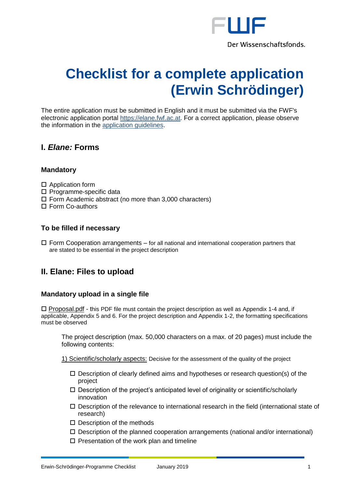

# **Checklist for a complete application (Erwin Schrödinger)**

The entire application must be submitted in English and it must be submitted via the FWF's electronic application portal [https://elane.fwf.ac.at.](https://elane.fwf.ac.at/) For a correct application, please observe the information in the [application guidelines.](https://www.fwf.ac.at/fileadmin/files/Dokumente/Antragstellung/Schroedinger-Programm/j_application-guidelines.pdf)

# **I.** *Elane:* **Forms**

## **Mandatory**

- □ Application form
- $\square$  Programme-specific data
- $\Box$  Form Academic abstract (no more than 3,000 characters)
- □ Form Co-authors

## **To be filled if necessary**

 $\Box$  Form Cooperation arrangements – for all national and international cooperation partners that are stated to be essential in the project description

# **II. Elane: Files to upload**

#### **Mandatory upload in a single file**

 $\Box$  Proposal.pdf - this PDF file must contain the project description as well as Appendix 1-4 and, if applicable, Appendix 5 and 6. For the project description and Appendix 1-2, the formatting specifications must be observed

The project description (max. 50,000 characters on a max. of 20 pages) must include the following contents:

1) Scientific/scholarly aspects: Decisive for the assessment of the quality of the project

- $\Box$  Description of clearly defined aims and hypotheses or research question(s) of the project
- $\square$  Description of the project's anticipated level of originality or scientific/scholarly innovation
- $\Box$  Description of the relevance to international research in the field (international state of research)
- $\square$  Description of the methods
- $\square$  Description of the planned cooperation arrangements (national and/or international)
- $\square$  Presentation of the work plan and timeline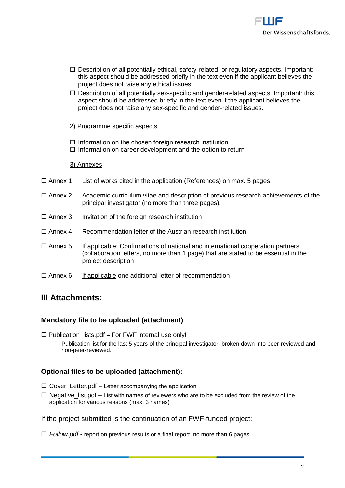

- $\square$  Description of all potentially ethical, safety-related, or regulatory aspects. Important: this aspect should be addressed briefly in the text even if the applicant believes the project does not raise any ethical issues.
- $\square$  Description of all potentially sex-specific and gender-related aspects. Important: this aspect should be addressed briefly in the text even if the applicant believes the project does not raise any sex-specific and gender-related issues.

#### 2) Programme specific aspects

 $\square$  Information on the chosen foreign research institution  $\Box$  Information on career development and the option to return

#### 3) Annexes

- $\Box$  Annex 1: List of works cited in the application (References) on max. 5 pages
- Annex 2: Academic curriculum vitae and description of previous research achievements of the principal investigator (no more than three pages).
- $\square$  Annex 3: Invitation of the foreign research institution
- $\Box$  Annex 4: Recommendation letter of the Austrian research institution
- Annex 5: If applicable: Confirmations of national and international cooperation partners (collaboration letters, no more than 1 page) that are stated to be essential in the project description
- $\square$  Annex 6: If applicable one additional letter of recommendation

# **III Attachments:**

## **Mandatory file to be uploaded (attachment)**

 $\square$  Publication lists.pdf – For FWF internal use only! Publication list for the last 5 years of the principal investigator, broken down into peer-reviewed and non-peer-reviewed.

## **Optional files to be uploaded (attachment):**

- $\Box$  Cover\_Letter.pdf Letter accompanying the application
- $\Box$  Negative list.pdf List with names of reviewers who are to be excluded from the review of the application for various reasons (max. 3 names)
- If the project submitted is the continuation of an FWF-funded project:
- *Follow.pdf* report on previous results or a final report, no more than 6 pages